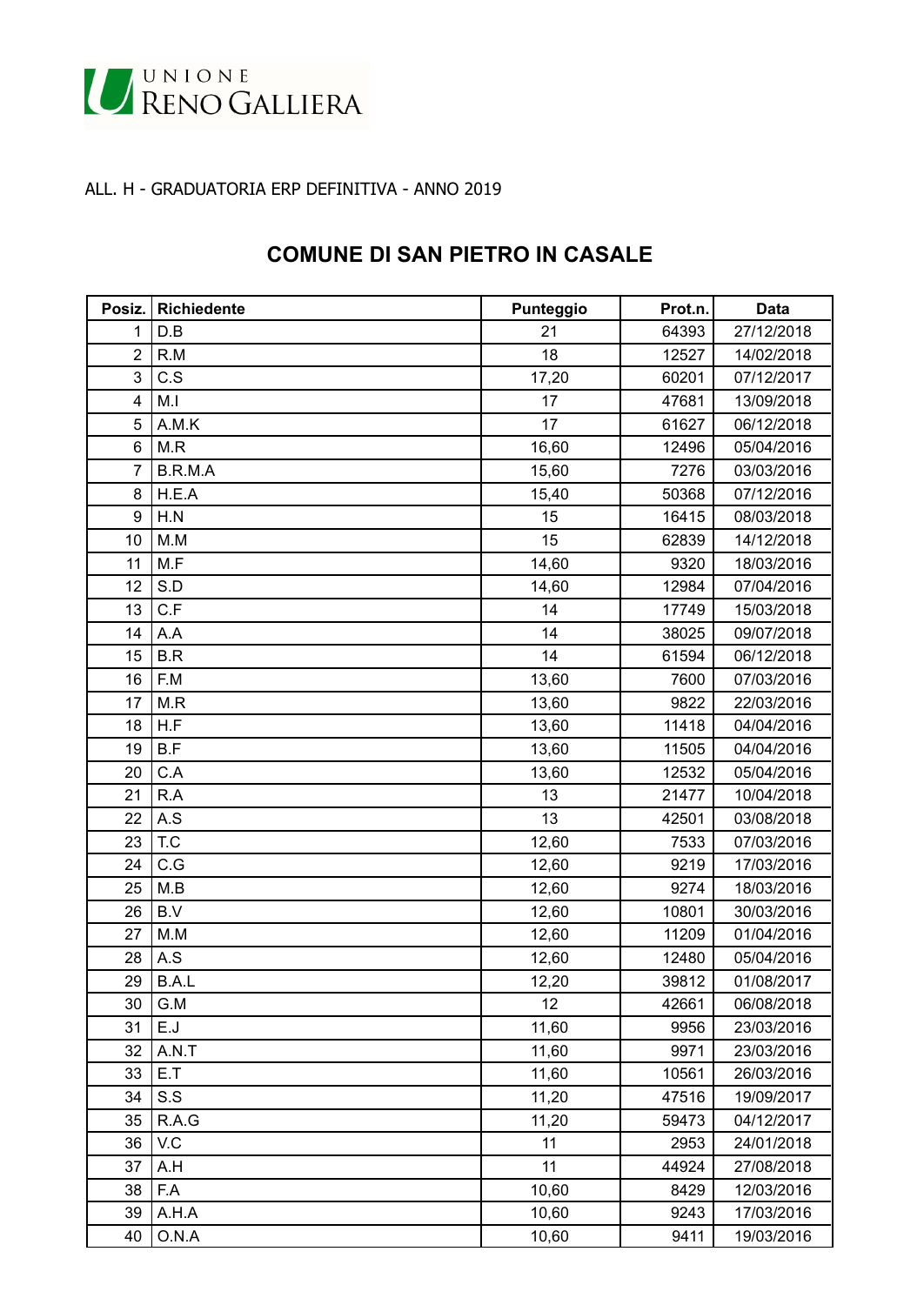

## ALL. H - GRADUATORIA ERP DEFINITIVA - ANNO 2019

## **COMUNE DI SAN PIETRO IN CASALE**

| Posiz.         | <b>Richiedente</b> | Punteggio | Prot.n. | <b>Data</b> |
|----------------|--------------------|-----------|---------|-------------|
| 1              | D.B                | 21        | 64393   | 27/12/2018  |
| $\overline{2}$ | R.M                | 18        | 12527   | 14/02/2018  |
| 3              | C.S                | 17,20     | 60201   | 07/12/2017  |
| $\overline{4}$ | M.I                | 17        | 47681   | 13/09/2018  |
| 5              | A.M.K              | 17        | 61627   | 06/12/2018  |
| 6              | M.R                | 16,60     | 12496   | 05/04/2016  |
| 7              | B.R.M.A            | 15,60     | 7276    | 03/03/2016  |
| 8              | H.E.A              | 15,40     | 50368   | 07/12/2016  |
| 9              | H.N                | 15        | 16415   | 08/03/2018  |
| 10             | M.M                | 15        | 62839   | 14/12/2018  |
| 11             | M.F                | 14,60     | 9320    | 18/03/2016  |
| 12             | S.D                | 14,60     | 12984   | 07/04/2016  |
| 13             | C.F                | 14        | 17749   | 15/03/2018  |
| 14             | A.A                | 14        | 38025   | 09/07/2018  |
| 15             | B.R                | 14        | 61594   | 06/12/2018  |
| 16             | F.M                | 13,60     | 7600    | 07/03/2016  |
| 17             | M.R                | 13,60     | 9822    | 22/03/2016  |
| 18             | H.F                | 13,60     | 11418   | 04/04/2016  |
| 19             | B.F                | 13,60     | 11505   | 04/04/2016  |
| 20             | C.A                | 13,60     | 12532   | 05/04/2016  |
| 21             | R.A                | 13        | 21477   | 10/04/2018  |
| 22             | A.S                | 13        | 42501   | 03/08/2018  |
| 23             | T.C                | 12,60     | 7533    | 07/03/2016  |
| 24             | C.G                | 12,60     | 9219    | 17/03/2016  |
| 25             | M.B                | 12,60     | 9274    | 18/03/2016  |
| 26             | B.V                | 12,60     | 10801   | 30/03/2016  |
| 27             | M.M                | 12,60     | 11209   | 01/04/2016  |
| 28             | A.S                | 12,60     | 12480   | 05/04/2016  |
| 29             | B.A.L              | 12,20     | 39812   | 01/08/2017  |
| 30             | G.M                | 12        | 42661   | 06/08/2018  |
| 31             | E.J                | 11,60     | 9956    | 23/03/2016  |
| 32             | A.N.T              | 11,60     | 9971    | 23/03/2016  |
| 33             | E.T                | 11,60     | 10561   | 26/03/2016  |
| 34             | S.S                | 11,20     | 47516   | 19/09/2017  |
| 35             | R.A.G              | 11,20     | 59473   | 04/12/2017  |
| 36             | V.C                | 11        | 2953    | 24/01/2018  |
| 37             | A.H                | 11        | 44924   | 27/08/2018  |
| 38             | F.A                | 10,60     | 8429    | 12/03/2016  |
| 39             | A.H.A              | 10,60     | 9243    | 17/03/2016  |
| 40             | O.N.A              | 10,60     | 9411    | 19/03/2016  |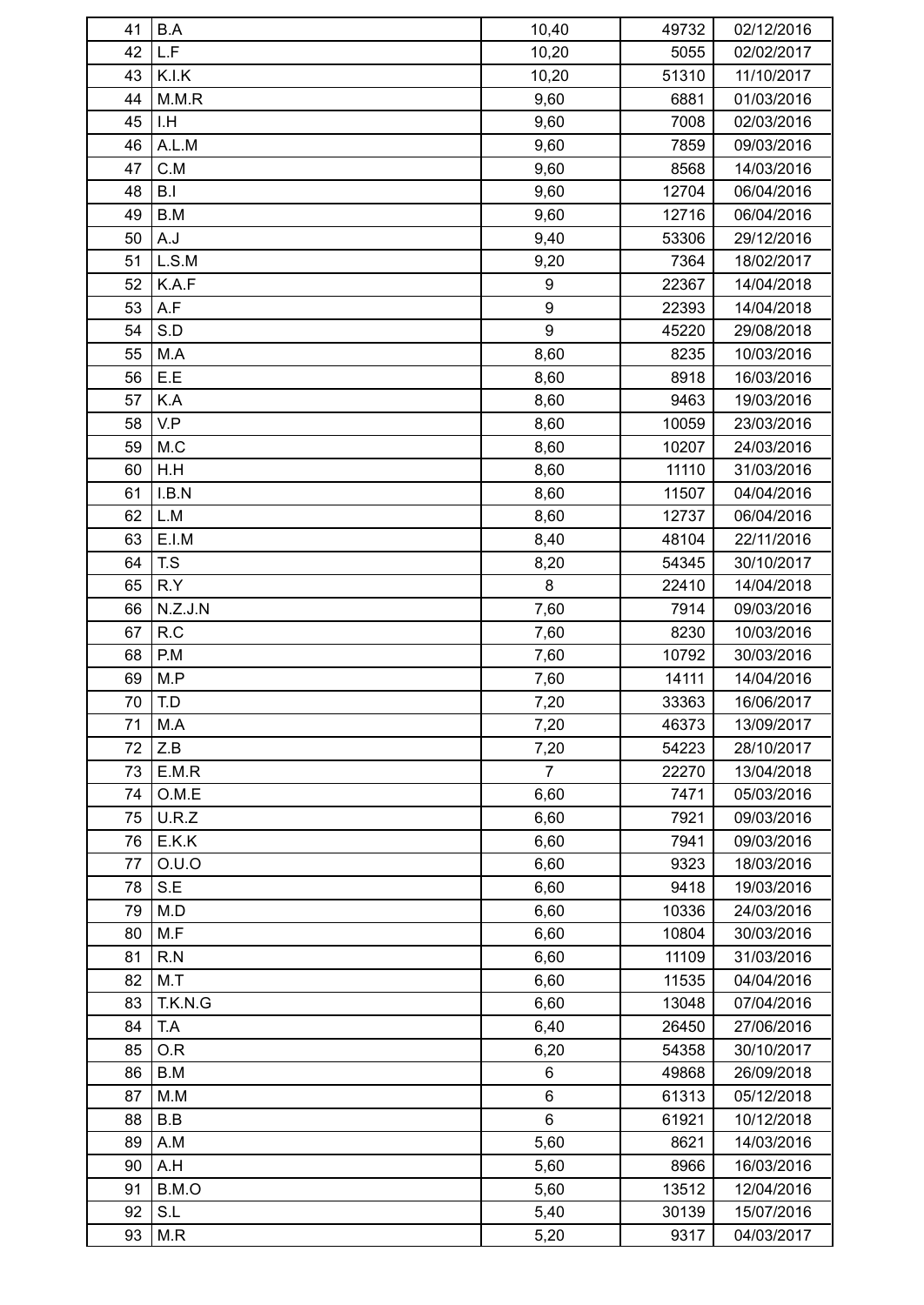| 41 | B.A     | 10,40            | 49732 | 02/12/2016 |
|----|---------|------------------|-------|------------|
| 42 | L.F     | 10,20            | 5055  | 02/02/2017 |
| 43 | K.I.K   | 10,20            | 51310 | 11/10/2017 |
| 44 | M.M.R   | 9,60             | 6881  | 01/03/2016 |
| 45 | I.H     | 9,60             | 7008  | 02/03/2016 |
| 46 | A.L.M   | 9,60             | 7859  | 09/03/2016 |
| 47 | C.M     | 9,60             | 8568  | 14/03/2016 |
| 48 | B.I     | 9,60             | 12704 | 06/04/2016 |
| 49 | B.M     | 9,60             | 12716 | 06/04/2016 |
| 50 | A.J     | 9,40             | 53306 | 29/12/2016 |
| 51 | L.S.M   | 9,20             | 7364  | 18/02/2017 |
| 52 | K.A.F   | 9                | 22367 | 14/04/2018 |
| 53 | A.F     | $\boldsymbol{9}$ | 22393 | 14/04/2018 |
| 54 | S.D     | $\boldsymbol{9}$ | 45220 | 29/08/2018 |
| 55 | M.A     | 8,60             | 8235  | 10/03/2016 |
| 56 | E.E     | 8,60             | 8918  | 16/03/2016 |
| 57 | K.A     | 8,60             | 9463  | 19/03/2016 |
| 58 | V.P     |                  |       |            |
|    | M.C     | 8,60             | 10059 | 23/03/2016 |
| 59 |         | 8,60             | 10207 | 24/03/2016 |
| 60 | H.H     | 8,60             | 11110 | 31/03/2016 |
| 61 | I.B.N   | 8,60             | 11507 | 04/04/2016 |
| 62 | L.M     | 8,60             | 12737 | 06/04/2016 |
| 63 | E.I.M   | 8,40             | 48104 | 22/11/2016 |
| 64 | T.S     | 8,20             | 54345 | 30/10/2017 |
| 65 | R.Y     | 8                | 22410 | 14/04/2018 |
| 66 | N.Z.J.N | 7,60             | 7914  | 09/03/2016 |
| 67 | R.C     | 7,60             | 8230  | 10/03/2016 |
| 68 | P.M     | 7,60             | 10792 | 30/03/2016 |
| 69 | M.P     | 7,60             | 14111 | 14/04/2016 |
| 70 | T.D     | 7,20             | 33363 | 16/06/2017 |
| 71 | M.A     | 7,20             | 46373 | 13/09/2017 |
| 72 | Z.B     | 7,20             | 54223 | 28/10/2017 |
| 73 | E.M.R   | $\overline{7}$   | 22270 | 13/04/2018 |
| 74 | O.M.E   | 6,60             | 7471  | 05/03/2016 |
| 75 | U.R.Z   | 6,60             | 7921  | 09/03/2016 |
| 76 | E.K.K   | 6,60             | 7941  | 09/03/2016 |
| 77 | O.U.O   | 6,60             | 9323  | 18/03/2016 |
| 78 | S.E     | 6,60             | 9418  | 19/03/2016 |
| 79 | M.D     | 6,60             | 10336 | 24/03/2016 |
| 80 | M.F     | 6,60             | 10804 | 30/03/2016 |
| 81 | R.N     | 6,60             | 11109 | 31/03/2016 |
| 82 | M.T     | 6,60             | 11535 | 04/04/2016 |
| 83 | T.K.N.G | 6,60             | 13048 | 07/04/2016 |
| 84 | T.A     | 6,40             | 26450 | 27/06/2016 |
| 85 | O.R     | 6,20             | 54358 | 30/10/2017 |
| 86 | B.M     | 6                | 49868 | 26/09/2018 |
| 87 | M.M     | 6                | 61313 | 05/12/2018 |
| 88 | B.B     | $6\phantom{a}$   | 61921 | 10/12/2018 |
| 89 | A.M     | 5,60             | 8621  | 14/03/2016 |
| 90 | A.H     | 5,60             | 8966  | 16/03/2016 |
| 91 | B.M.O   | 5,60             | 13512 | 12/04/2016 |
| 92 | S.L     | 5,40             | 30139 | 15/07/2016 |
| 93 | M.R     | 5,20             | 9317  | 04/03/2017 |
|    |         |                  |       |            |